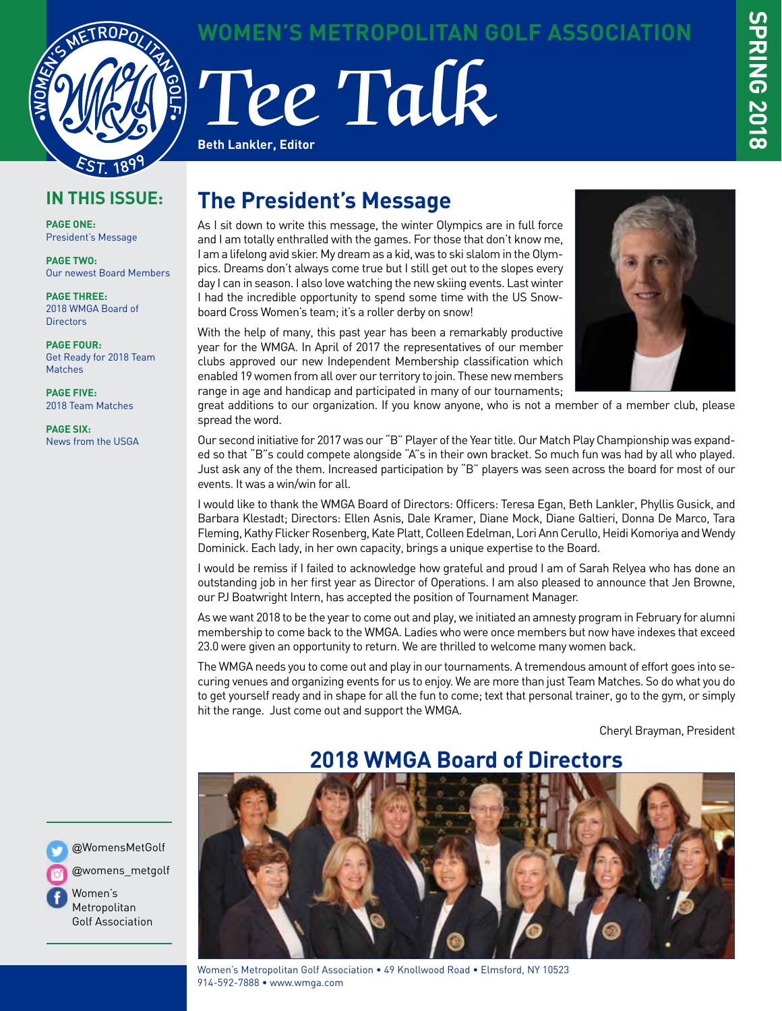

## **WOMEN'S METROPOLITAN GOLF ASSOCIATION**

Tee Talk **Beth Lankler, Editor**

## **IN THIS ISSUE:**

**PAGE ONE:** President's Message

**PAGE TWO:** Our newest Board Members

**PAGE THREE:** 2018 WMGA Board of **Directors** 

**PAGE FOUR:** Get Ready for 2018 Team Matches

**PAGE FIVE:** 2018 Team Matches

**PAGE SIX:** News from the USGA

## **The President's Message**

As I sit down to write this message, the winter Olympics are in full force and I am totally enthralled with the games. For those that don't know me, I am a lifelong avid skier. My dream as a kid, was to ski slalom in the Olympics. Dreams don't always come true but I still get out to the slopes every day I can in season. I also love watching the new skiing events. Last winter I had the incredible opportunity to spend some time with the US Snowboard Cross Women's team; it's a roller derby on snow!

With the help of many, this past year has been a remarkably productive year for the WMGA. In April of 2017 the representatives of our member clubs approved our new Independent Membership classification which enabled 19 women from all over our territory to join. These new members range in age and handicap and participated in many of our tournaments;

great additions to our organization. If you know anyone, who is not a member of a member club, please spread the word.

Our second initiative for 2017 was our "B" Player of the Year title. Our Match Play Championship was expanded so that "B"s could compete alongside "A"s in their own bracket. So much fun was had by all who played. Just ask any of the them. Increased participation by "B" players was seen across the board for most of our events. It was a win/win for all.

I would like to thank the WMGA Board of Directors: Officers: Teresa Egan, Beth Lankler, Phyllis Gusick, and Barbara Klestadt; Directors: Ellen Asnis, Dale Kramer, Diane Mock, Diane Galtieri, Donna De Marco, Tara Fleming, Kathy Flicker Rosenberg, Kate Platt, Colleen Edelman, Lori Ann Cerullo, Heidi Komoriya and Wendy Dominick. Each lady, in her own capacity, brings a unique expertise to the Board.

I would be remiss if I failed to acknowledge how grateful and proud I am of Sarah Relyea who has done an outstanding job in her first year as Director of Operations. I am also pleased to announce that Jen Browne, our PJ Boatwright Intern, has accepted the position of Tournament Manager.

As we want 2018 to be the year to come out and play, we initiated an amnesty program in February for alumni membership to come back to the WMGA. Ladies who were once members but now have indexes that exceed 23.0 were given an opportunity to return. We are thrilled to welcome many women back.

The WMGA needs you to come out and play in our tournaments. A tremendous amount of effort goes into securing venues and organizing events for us to enjoy. We are more than just Team Matches. So do what you do to get yourself ready and in shape for all the fun to come; text that personal trainer, go to the gym, or simply hit the range. Just come out and support the WMGA.

Cheryl Brayman, President



@WomensMetGolf

@womens\_metgolf

Women's Metropolitan Golf Association



#### Women's Metropolitan Golf Association • 49 Knollwood Road • Elmsford, NY 10523 914-592-7888 • www.wmga.com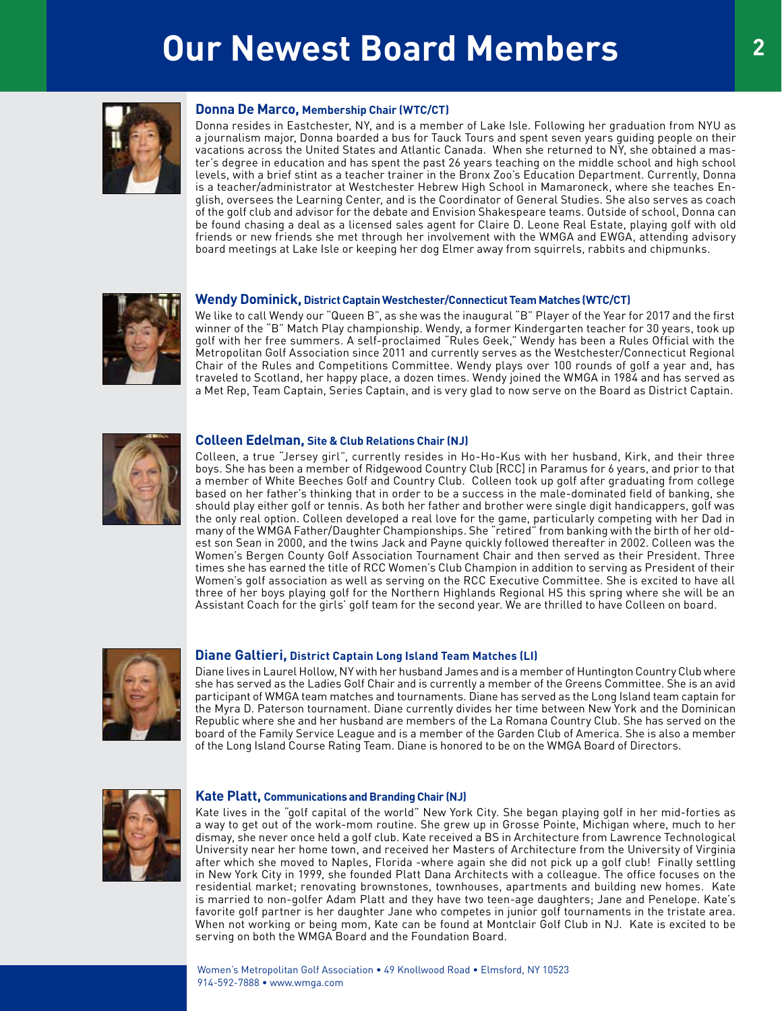# **Our Newest Board Members** 2



#### **Donna De Marco, Membership Chair (WTC/CT)**

Donna resides in Eastchester, NY, and is a member of Lake Isle. Following her graduation from NYU as a journalism major, Donna boarded a bus for Tauck Tours and spent seven years guiding people on their vacations across the United States and Atlantic Canada. When she returned to NY, she obtained a master's degree in education and has spent the past 26 years teaching on the middle school and high school levels, with a brief stint as a teacher trainer in the Bronx Zoo's Education Department. Currently, Donna is a teacher/administrator at Westchester Hebrew High School in Mamaroneck, where she teaches English, oversees the Learning Center, and is the Coordinator of General Studies. She also serves as coach of the golf club and advisor for the debate and Envision Shakespeare teams. Outside of school, Donna can be found chasing a deal as a licensed sales agent for Claire D. Leone Real Estate, playing golf with old friends or new friends she met through her involvement with the WMGA and EWGA, attending advisory board meetings at Lake Isle or keeping her dog Elmer away from squirrels, rabbits and chipmunks.



#### **Wendy Dominick, District Captain Westchester/Connecticut Team Matches (WTC/CT)**

We like to call Wendy our "Queen B", as she was the inaugural "B" Player of the Year for 2017 and the first winner of the "B" Match Play championship. Wendy, a former Kindergarten teacher for 30 years, took up golf with her free summers. A self-proclaimed "Rules Geek," Wendy has been a Rules Official with the Metropolitan Golf Association since 2011 and currently serves as the Westchester/Connecticut Regional Chair of the Rules and Competitions Committee. Wendy plays over 100 rounds of golf a year and, has traveled to Scotland, her happy place, a dozen times. Wendy joined the WMGA in 1984 and has served as a Met Rep, Team Captain, Series Captain, and is very glad to now serve on the Board as District Captain.



#### **Colleen Edelman, Site & Club Relations Chair (NJ)**

Colleen, a true "Jersey girl", currently resides in Ho-Ho-Kus with her husband, Kirk, and their three boys. She has been a member of Ridgewood Country Club [RCC] in Paramus for 6 years, and prior to that a member of White Beeches Golf and Country Club. Colleen took up golf after graduating from college based on her father's thinking that in order to be a success in the male-dominated field of banking, she should play either golf or tennis. As both her father and brother were single digit handicappers, golf was the only real option. Colleen developed a real love for the game, particularly competing with her Dad in many of the WMGA Father/Daughter Championships. She "retired" from banking with the birth of her oldest son Sean in 2000, and the twins Jack and Payne quickly followed thereafter in 2002. Colleen was the Women's Bergen County Golf Association Tournament Chair and then served as their President. Three times she has earned the title of RCC Women's Club Champion in addition to serving as President of their Women's golf association as well as serving on the RCC Executive Committee. She is excited to have all three of her boys playing golf for the Northern Highlands Regional HS this spring where she will be an Assistant Coach for the girls' golf team for the second year. We are thrilled to have Colleen on board.



#### **Diane Galtieri, District Captain Long Island Team Matches (LI)**

Diane lives in Laurel Hollow, NY with her husband James and is a member of Huntington Country Club where she has served as the Ladies Golf Chair and is currently a member of the Greens Committee. She is an avid participant of WMGA team matches and tournaments. Diane has served as the Long Island team captain for the Myra D. Paterson tournament. Diane currently divides her time between New York and the Dominican Republic where she and her husband are members of the La Romana Country Club. She has served on the board of the Family Service League and is a member of the Garden Club of America. She is also a member of the Long Island Course Rating Team. Diane is honored to be on the WMGA Board of Directors.



#### **Kate Platt, Communications and Branding Chair (NJ)**

Kate lives in the "golf capital of the world" New York City. She began playing golf in her mid-forties as a way to get out of the work-mom routine. She grew up in Grosse Pointe, Michigan where, much to her dismay, she never once held a golf club. Kate received a BS in Architecture from Lawrence Technological University near her home town, and received her Masters of Architecture from the University of Virginia after which she moved to Naples, Florida -where again she did not pick up a golf club! Finally settling in New York City in 1999, she founded Platt Dana Architects with a colleague. The office focuses on the residential market; renovating brownstones, townhouses, apartments and building new homes. Kate is married to non-golfer Adam Platt and they have two teen-age daughters; Jane and Penelope. Kate's favorite golf partner is her daughter Jane who competes in junior golf tournaments in the tristate area. When not working or being mom, Kate can be found at Montclair Golf Club in NJ. Kate is excited to be serving on both the WMGA Board and the Foundation Board.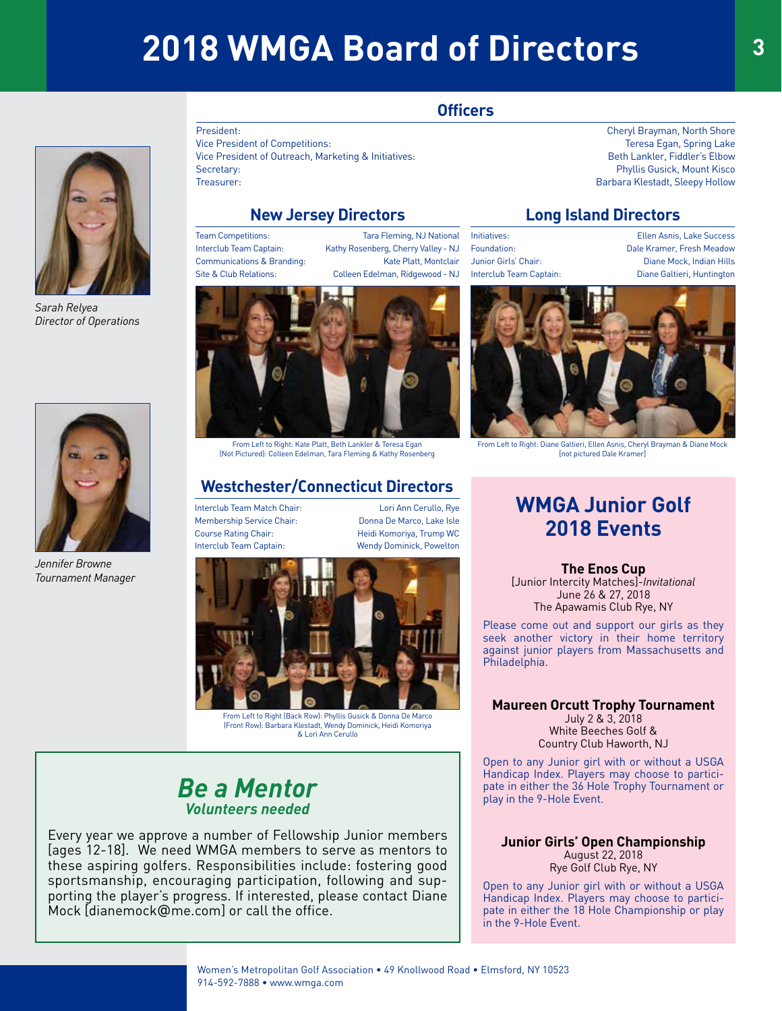# **2018 WMGA Board of Directors <sup>3</sup>**





*Sarah Relyea Director of Operations*



*Jennifer Browne Tournament Manager* 

President: Cheryl Brayman, North Shore Vice President of Competitions: Teresa Egan, Spring Lake Vice President of Outreach, Marketing & Initiatives: Beth Lankler, Fiddler's Elbow Secretary: Phyllis Gusick, Mount Kisco Treasurer: Barbara Klestadt, Sleepy Hollow

## **New Jersey Directors**

Team Competitions: Tara Fleming, NJ National Interclub Team Captain: Kathy Rosenberg, Cherry Valley - NJ Communications & Branding: Kate Platt, Montclair

Site & Club Relations: Colleen Edelman, Ridgewood - NJ



From Left to Right: Kate Platt, Beth Lankler & Teresa Egan (Not Pictured): Colleen Edelman, Tara Fleming & Kathy Rosenberg

## **Westchester/Connecticut Directors**

Interclub Team Match Chair: Lori Ann Cerullo, Rye Membership Service Chair: Donna De Marco, Lake Isle Course Rating Chair: The Million Heidi Komoriya, Trump WC

Interclub Team Captain: Wendy Dominick, Powelton



(Front Row): Barbara Klestadt, Wendy Dominick, Heidi Komoriya & Lori Ann Cerullo

## *Be a Mentor Volunteers needed*

Every year we approve a number of Fellowship Junior members [ages 12-18]. We need WMGA members to serve as mentors to these aspiring golfers. Responsibilities include: fostering good sportsmanship, encouraging participation, following and supporting the player's progress. If interested, please contact Diane Mock [dianemock@me.com] or call the office.

## **Long Island Directors**

Initiatives: Ellen Asnis, Lake Success Foundation: Dale Kramer, Fresh Meadow Junior Girls' Chair: Diane Mock, Indian Hills Interclub Team Captain: Diane Galtieri, Huntington



From Left to Right: Diane Galtieri, Ellen Asnis, Cheryl Brayman & Diane Mock [not pictured Dale Kramer]

## **WMGA Junior Golf 2018 Events**

**The Enos Cup** [Junior Intercity Matches]-*Invitational* June 26 & 27, 2018 The Apawamis Club Rye, NY

Please come out and support our girls as they seek another victory in their home territory against junior players from Massachusetts and Philadelphia.

### **Maureen Orcutt Trophy Tournament** July 2 & 3, 2018

White Beeches Golf & Country Club Haworth, NJ

Open to any Junior girl with or without a USGA Handicap Index. Players may choose to participate in either the 36 Hole Trophy Tournament or play in the 9-Hole Event.

**Junior Girls' Open Championship** August 22, 2018 Rye Golf Club Rye, NY

Open to any Junior girl with or without a USGA Handicap Index. Players may choose to participate in either the 18 Hole Championship or play in the 9-Hole Event.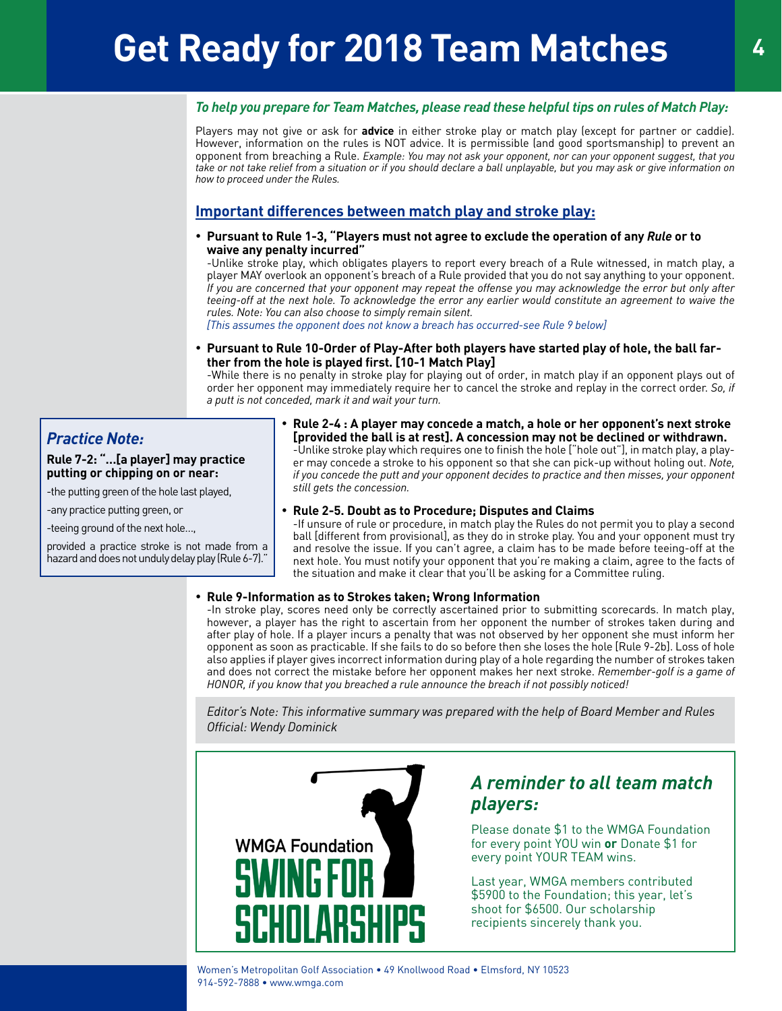### *To help you prepare for Team Matches, please read these helpful tips on rules of Match Play:*

Players may not give or ask for **advice** in either stroke play or match play (except for partner or caddie). However, information on the rules is NOT advice. It is permissible (and good sportsmanship) to prevent an opponent from breaching a Rule. *Example: You may not ask your opponent, nor can your opponent suggest, that you take or not take relief from a situation or if you should declare a ball unplayable, but you may ask or give information on how to proceed under the Rules.*

## **Important differences between match play and stroke play:**

• **Pursuant to Rule 1-3, "Players must not agree to exclude the operation of any** *Rule* **or to waive any penalty incurred"** 

-Unlike stroke play, which obligates players to report every breach of a Rule witnessed, in match play, a player MAY overlook an opponent's breach of a Rule provided that you do not say anything to your opponent. *If you are concerned that your opponent may repeat the offense you may acknowledge the error but only after teeing-off at the next hole. To acknowledge the error any earlier would constitute an agreement to waive the rules. Note: You can also choose to simply remain silent.* 

*[This assumes the opponent does not know a breach has occurred-see Rule 9 below]*

Pursuant to Rule 10-Order of Play-After both players have started play of hole, the ball far**ther from the hole is played first. [10-1 Match Play]** 

-While there is no penalty in stroke play for playing out of order, in match play if an opponent plays out of order her opponent may immediately require her to cancel the stroke and replay in the correct order. *So, if a putt is not conceded, mark it and wait your turn.*

## *Practice Note:*

**Rule 7-2: "…[a player] may practice putting or chipping on or near:**

-the putting green of the hole last played,

-any practice putting green, or

-teeing ground of the next hole…,

provided a practice stroke is not made from a hazard and does not unduly delay play (Rule 6-7)."

#### • **Rule 2-4 : A player may concede a match, a hole or her opponent's next stroke [provided the ball is at rest]. A concession may not be declined or withdrawn.**  -Unlike stroke play which requires one to finish the hole ["hole out"], in match play, a player may concede a stroke to his opponent so that she can pick-up without holing out. *Note, if you concede the putt and your opponent decides to practice and then misses, your opponent still gets the concession.*

### **Rule 2-5. Doubt as to Procedure; Disputes and Claims**

-If unsure of rule or procedure, in match play the Rules do not permit you to play a second ball [different from provisional], as they do in stroke play. You and your opponent must try and resolve the issue. If you can't agree, a claim has to be made before teeing-off at the next hole. You must notify your opponent that you're making a claim, agree to the facts of the situation and make it clear that you'll be asking for a Committee ruling.

### • **Rule 9-Information as to Strokes taken; Wrong Information**

-In stroke play, scores need only be correctly ascertained prior to submitting scorecards. In match play, however, a player has the right to ascertain from her opponent the number of strokes taken during and after play of hole. If a player incurs a penalty that was not observed by her opponent she must inform her opponent as soon as practicable. If she fails to do so before then she loses the hole [Rule 9-2b]. Loss of hole also applies if player gives incorrect information during play of a hole regarding the number of strokes taken and does not correct the mistake before her opponent makes her next stroke. *Remember-golf is a game of HONOR, if you know that you breached a rule announce the breach if not possibly noticed!*

*Editor's Note: This informative summary was prepared with the help of Board Member and Rules Official: Wendy Dominick*



## *A reminder to all team match players:*

Please donate \$1 to the WMGA Foundation for every point YOU win **or** Donate \$1 for every point YOUR TEAM wins.

Last year, WMGA members contributed \$5900 to the Foundation; this year, let's shoot for \$6500. Our scholarship recipients sincerely thank you.

Women's Metropolitan Golf Association • 49 Knollwood Road • Elmsford, NY 10523 914-592-7888 • www.wmga.com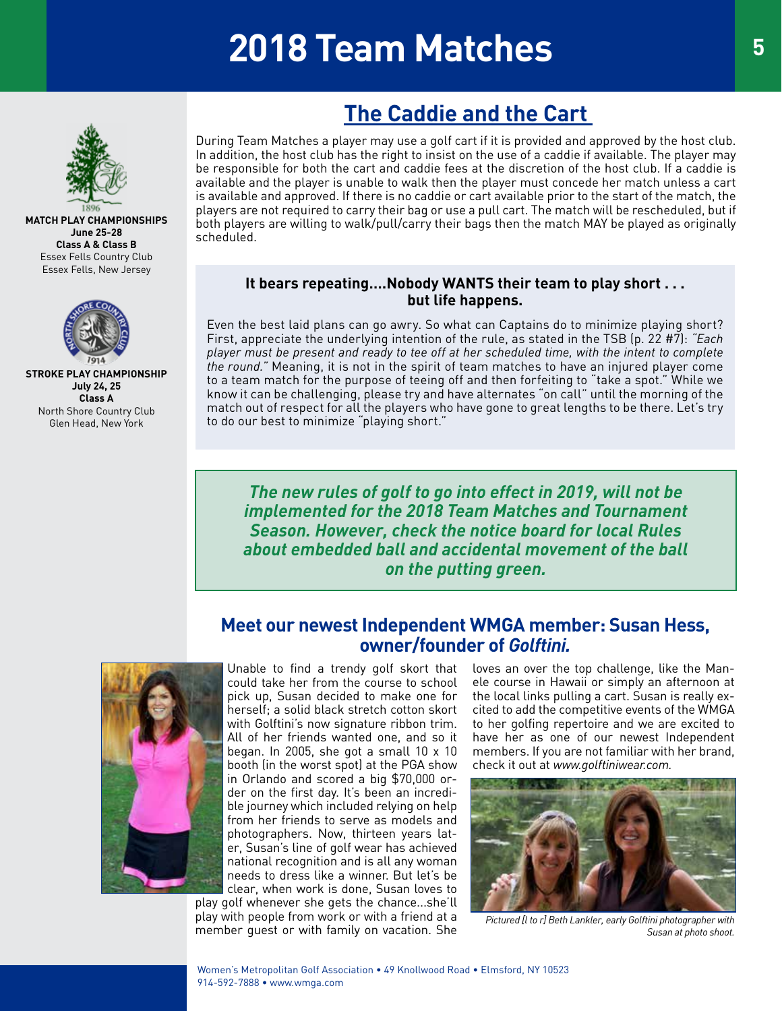# **2018 Team Matches**



#### **MATCH PLAY CHAMPIONSHIPS June 25-28 Class A & Class B** Essex Fells Country Club Essex Fells, New Jersey



**STROKE PLAY CHAMPIONSHIP July 24, 25 Class A** North Shore Country Club Glen Head, New York

## **The Caddie and the Cart**

During Team Matches a player may use a golf cart if it is provided and approved by the host club. In addition, the host club has the right to insist on the use of a caddie if available. The player may be responsible for both the cart and caddie fees at the discretion of the host club. If a caddie is available and the player is unable to walk then the player must concede her match unless a cart is available and approved. If there is no caddie or cart available prior to the start of the match, the players are not required to carry their bag or use a pull cart. The match will be rescheduled, but if both players are willing to walk/pull/carry their bags then the match MAY be played as originally scheduled.

## **It bears repeating….Nobody WANTS their team to play short . . . but life happens.**

Even the best laid plans can go awry. So what can Captains do to minimize playing short? First, appreciate the underlying intention of the rule, as stated in the TSB (p. 22 #7): *"Each player must be present and ready to tee off at her scheduled time, with the intent to complete the round."* Meaning, it is not in the spirit of team matches to have an injured player come to a team match for the purpose of teeing off and then forfeiting to "take a spot." While we know it can be challenging, please try and have alternates "on call" until the morning of the match out of respect for all the players who have gone to great lengths to be there. Let's try to do our best to minimize "playing short."

*The new rules of golf to go into effect in 2019, will not be implemented for the 2018 Team Matches and Tournament Season. However, check the notice board for local Rules about embedded ball and accidental movement of the ball on the putting green.*

## **Meet our newest Independent WMGA member: Susan Hess, owner/founder of** *Golftini.*



Unable to find a trendy golf skort that could take her from the course to school pick up, Susan decided to make one for herself; a solid black stretch cotton skort with Golftini's now signature ribbon trim. All of her friends wanted one, and so it began. In 2005, she got a small 10 x 10 booth (in the worst spot) at the PGA show in Orlando and scored a big \$70,000 order on the first day. It's been an incredible journey which included relying on help from her friends to serve as models and photographers. Now, thirteen years later, Susan's line of golf wear has achieved national recognition and is all any woman needs to dress like a winner. But let's be clear, when work is done, Susan loves to

play golf whenever she gets the chance...she'll play with people from work or with a friend at a member guest or with family on vacation. She

loves an over the top challenge, like the Manele course in Hawaii or simply an afternoon at the local links pulling a cart. Susan is really excited to add the competitive events of the WMGA to her golfing repertoire and we are excited to have her as one of our newest Independent members. If you are not familiar with her brand, check it out at *www.golftiniwear.com.*



*Pictured [l to r] Beth Lankler, early Golftini photographer with Susan at photo shoot.*